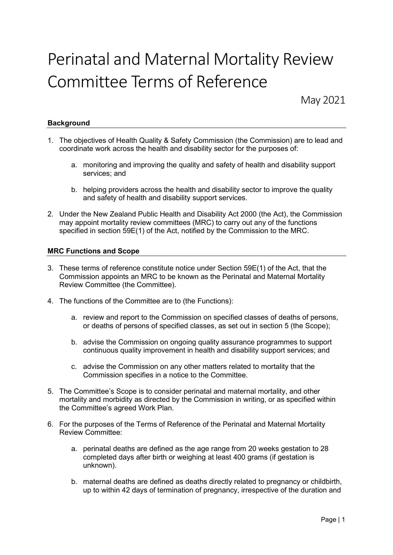# Perinatal and Maternal Mortality Review Committee Terms of Reference

May 2021

# **Background**

- 1. The objectives of Health Quality & Safety Commission (the Commission) are to lead and coordinate work across the health and disability sector for the purposes of:
	- a. monitoring and improving the quality and safety of health and disability support services; and
	- b. helping providers across the health and disability sector to improve the quality and safety of health and disability support services.
- 2. Under the New Zealand Public Health and Disability Act 2000 (the Act), the Commission may appoint mortality review committees (MRC) to carry out any of the functions specified in section 59E(1) of the Act, notified by the Commission to the MRC.

# MRC Functions and Scope

- 3. These terms of reference constitute notice under Section 59E(1) of the Act, that the Commission appoints an MRC to be known as the Perinatal and Maternal Mortality Review Committee (the Committee).
- 4. The functions of the Committee are to (the Functions):
	- a. review and report to the Commission on specified classes of deaths of persons, or deaths of persons of specified classes, as set out in section 5 (the Scope);
	- b. advise the Commission on ongoing quality assurance programmes to support continuous quality improvement in health and disability support services; and
	- c. advise the Commission on any other matters related to mortality that the Commission specifies in a notice to the Committee.
- 5. The Committee's Scope is to consider perinatal and maternal mortality, and other mortality and morbidity as directed by the Commission in writing, or as specified within the Committee's agreed Work Plan.
- 6. For the purposes of the Terms of Reference of the Perinatal and Maternal Mortality Review Committee:
	- a. perinatal deaths are defined as the age range from 20 weeks gestation to 28 completed days after birth or weighing at least 400 grams (if gestation is unknown).
	- b. maternal deaths are defined as deaths directly related to pregnancy or childbirth, up to within 42 days of termination of pregnancy, irrespective of the duration and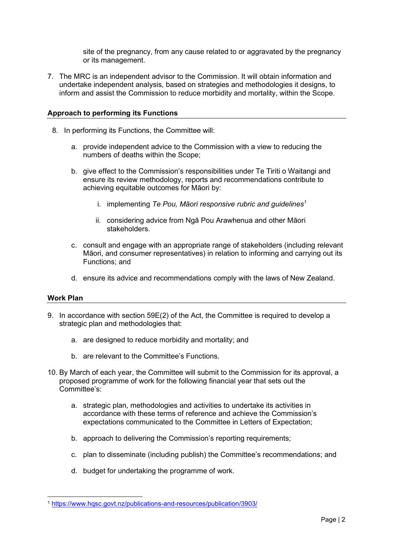site of the pregnancy, from any cause related to or aggravated by the pregnancy or its management.

7. The MRC is an independent advisor to the Commission. It will obtain information and undertake independent analysis, based on strategies and methodologies it designs, to inform and assist the Commission to reduce morbidity and mortality, within the Scope.

# Approach to performing its Functions

- 8. In performing its Functions, the Committee will:
	- a. provide independent advice to the Commission with a view to reducing the numbers of deaths within the Scope;
	- b. give effect to the Commission's responsibilities under Te Tiriti o Waitangi and ensure its review methodology, reports and recommendations contribute to achieving equitable outcomes for Māori by:
		- i. implementing Te Pou, Māori responsive rubric and guidelines<sup>1</sup>
		- ii. considering advice from Ngā Pou Arawhenua and other Māori stakeholders.
	- c. consult and engage with an appropriate range of stakeholders (including relevant Māori, and consumer representatives) in relation to informing and carrying out its Functions; and
	- d. ensure its advice and recommendations comply with the laws of New Zealand.

#### Work Plan

- 9. In accordance with section 59E(2) of the Act, the Committee is required to develop a strategic plan and methodologies that:
	- a. are designed to reduce morbidity and mortality; and
	- b. are relevant to the Committee's Functions.
- 10. By March of each year, the Committee will submit to the Commission for its approval, a proposed programme of work for the following financial year that sets out the Committee's:
	- a. strategic plan, methodologies and activities to undertake its activities in accordance with these terms of reference and achieve the Commission's expectations communicated to the Committee in Letters of Expectation;
	- b. approach to delivering the Commission's reporting requirements;
	- c. plan to disseminate (including publish) the Committee's recommendations; and
	- d. budget for undertaking the programme of work.

<sup>1</sup> https://www.hqsc.govt.nz/publications-and-resources/publication/3903/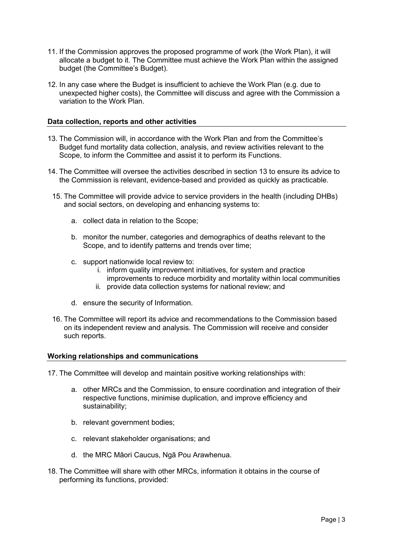- 11. If the Commission approves the proposed programme of work (the Work Plan), it will allocate a budget to it. The Committee must achieve the Work Plan within the assigned budget (the Committee's Budget).
- 12. In any case where the Budget is insufficient to achieve the Work Plan (e.g. due to unexpected higher costs), the Committee will discuss and agree with the Commission a variation to the Work Plan.

# Data collection, reports and other activities

- 13. The Commission will, in accordance with the Work Plan and from the Committee's Budget fund mortality data collection, analysis, and review activities relevant to the Scope, to inform the Committee and assist it to perform its Functions.
- 14. The Committee will oversee the activities described in section 13 to ensure its advice to the Commission is relevant, evidence-based and provided as quickly as practicable.
- 15. The Committee will provide advice to service providers in the health (including DHBs) and social sectors, on developing and enhancing systems to:
	- a. collect data in relation to the Scope;
	- b. monitor the number, categories and demographics of deaths relevant to the Scope, and to identify patterns and trends over time;
	- c. support nationwide local review to:
		- i. inform quality improvement initiatives, for system and practice
		- improvements to reduce morbidity and mortality within local communities
		- ii. provide data collection systems for national review; and
	- d. ensure the security of Information.
- 16. The Committee will report its advice and recommendations to the Commission based on its independent review and analysis. The Commission will receive and consider such reports.

#### Working relationships and communications

17. The Committee will develop and maintain positive working relationships with:

- a. other MRCs and the Commission, to ensure coordination and integration of their respective functions, minimise duplication, and improve efficiency and sustainability;
- b. relevant government bodies;
- c. relevant stakeholder organisations; and
- d. the MRC Māori Caucus, Ngā Pou Arawhenua.
- 18. The Committee will share with other MRCs, information it obtains in the course of performing its functions, provided: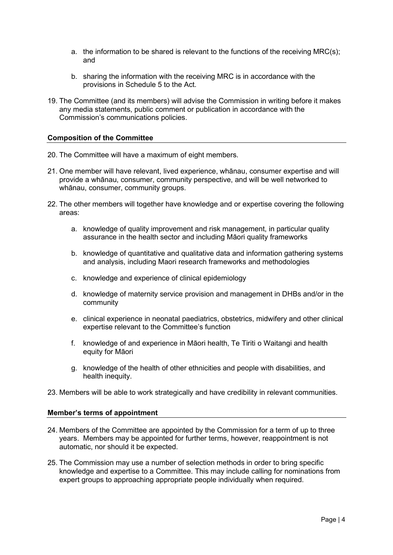- a. the information to be shared is relevant to the functions of the receiving MRC(s); and
- b. sharing the information with the receiving MRC is in accordance with the provisions in Schedule 5 to the Act.
- 19. The Committee (and its members) will advise the Commission in writing before it makes any media statements, public comment or publication in accordance with the Commission's communications policies.

#### Composition of the Committee

- 20. The Committee will have a maximum of eight members.
- 21. One member will have relevant, lived experience, whānau, consumer expertise and will provide a whānau, consumer, community perspective, and will be well networked to whānau, consumer, community groups.
- 22. The other members will together have knowledge and or expertise covering the following areas:
	- a. knowledge of quality improvement and risk management, in particular quality assurance in the health sector and including Māori quality frameworks
	- b. knowledge of quantitative and qualitative data and information gathering systems and analysis, including Maori research frameworks and methodologies
	- c. knowledge and experience of clinical epidemiology
	- d. knowledge of maternity service provision and management in DHBs and/or in the community
	- e. clinical experience in neonatal paediatrics, obstetrics, midwifery and other clinical expertise relevant to the Committee's function
	- f. knowledge of and experience in Māori health, Te Tiriti o Waitangi and health equity for Māori
	- g. knowledge of the health of other ethnicities and people with disabilities, and health inequity.
- 23. Members will be able to work strategically and have credibility in relevant communities.

#### Member's terms of appointment

- 24. Members of the Committee are appointed by the Commission for a term of up to three years. Members may be appointed for further terms, however, reappointment is not automatic, nor should it be expected.
- 25. The Commission may use a number of selection methods in order to bring specific knowledge and expertise to a Committee. This may include calling for nominations from expert groups to approaching appropriate people individually when required.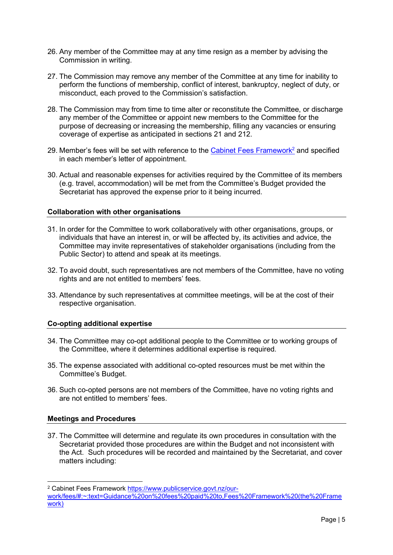- 26. Any member of the Committee may at any time resign as a member by advising the Commission in writing.
- 27. The Commission may remove any member of the Committee at any time for inability to perform the functions of membership, conflict of interest, bankruptcy, neglect of duty, or misconduct, each proved to the Commission's satisfaction.
- 28. The Commission may from time to time alter or reconstitute the Committee, or discharge any member of the Committee or appoint new members to the Committee for the purpose of decreasing or increasing the membership, filling any vacancies or ensuring coverage of expertise as anticipated in sections 21 and 212.
- 29. Member's fees will be set with reference to the Cabinet Fees Framework<sup>2</sup> and specified in each member's letter of appointment.
- 30. Actual and reasonable expenses for activities required by the Committee of its members (e.g. travel, accommodation) will be met from the Committee's Budget provided the Secretariat has approved the expense prior to it being incurred.

#### Collaboration with other organisations

- 31. In order for the Committee to work collaboratively with other organisations, groups, or individuals that have an interest in, or will be affected by, its activities and advice, the Committee may invite representatives of stakeholder organisations (including from the Public Sector) to attend and speak at its meetings.
- 32. To avoid doubt, such representatives are not members of the Committee, have no voting rights and are not entitled to members' fees.
- 33. Attendance by such representatives at committee meetings, will be at the cost of their respective organisation.

# Co-opting additional expertise

- 34. The Committee may co-opt additional people to the Committee or to working groups of the Committee, where it determines additional expertise is required.
- 35. The expense associated with additional co-opted resources must be met within the Committee's Budget.
- 36. Such co-opted persons are not members of the Committee, have no voting rights and are not entitled to members' fees.

# Meetings and Procedures

37. The Committee will determine and regulate its own procedures in consultation with the Secretariat provided those procedures are within the Budget and not inconsistent with the Act. Such procedures will be recorded and maintained by the Secretariat, and cover matters including:

<sup>&</sup>lt;sup>2</sup> Cabinet Fees Framework https://www.publicservice.govt.nz/our-

work/fees/#:~:text=Guidance%20on%20fees%20paid%20to,Fees%20Framework%20(the%20Frame work)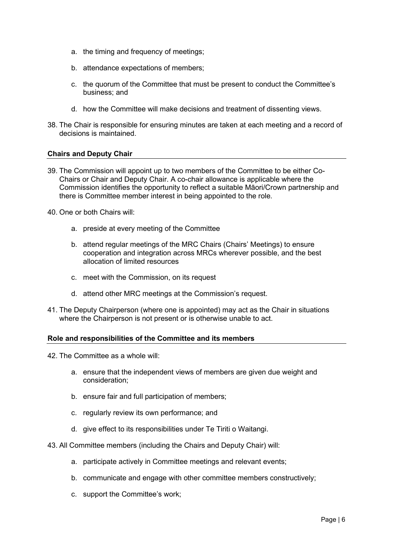- a. the timing and frequency of meetings;
- b. attendance expectations of members;
- c. the quorum of the Committee that must be present to conduct the Committee's business; and
- d. how the Committee will make decisions and treatment of dissenting views.
- 38. The Chair is responsible for ensuring minutes are taken at each meeting and a record of decisions is maintained.

#### Chairs and Deputy Chair

39. The Commission will appoint up to two members of the Committee to be either Co-Chairs or Chair and Deputy Chair. A co-chair allowance is applicable where the Commission identifies the opportunity to reflect a suitable Māori/Crown partnership and there is Committee member interest in being appointed to the role.

40. One or both Chairs will:

- a. preside at every meeting of the Committee
- b. attend regular meetings of the MRC Chairs (Chairs' Meetings) to ensure cooperation and integration across MRCs wherever possible, and the best allocation of limited resources
- c. meet with the Commission, on its request
- d. attend other MRC meetings at the Commission's request.
- 41. The Deputy Chairperson (where one is appointed) may act as the Chair in situations where the Chairperson is not present or is otherwise unable to act.

#### Role and responsibilities of the Committee and its members

- 42. The Committee as a whole will:
	- a. ensure that the independent views of members are given due weight and consideration;
	- b. ensure fair and full participation of members;
	- c. regularly review its own performance; and
	- d. give effect to its responsibilities under Te Tiriti o Waitangi.
- 43. All Committee members (including the Chairs and Deputy Chair) will:
	- a. participate actively in Committee meetings and relevant events;
	- b. communicate and engage with other committee members constructively;
	- c. support the Committee's work;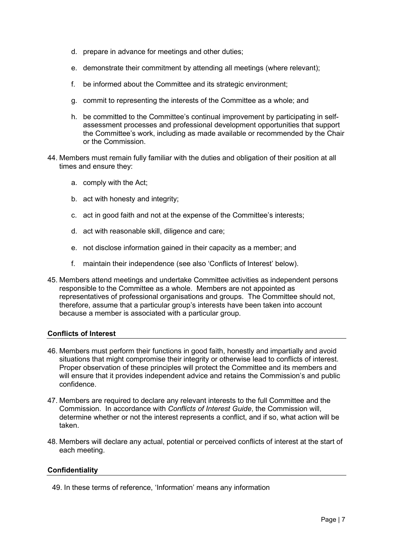- d. prepare in advance for meetings and other duties;
- e. demonstrate their commitment by attending all meetings (where relevant);
- f. be informed about the Committee and its strategic environment;
- g. commit to representing the interests of the Committee as a whole; and
- h. be committed to the Committee's continual improvement by participating in selfassessment processes and professional development opportunities that support the Committee's work, including as made available or recommended by the Chair or the Commission.
- 44. Members must remain fully familiar with the duties and obligation of their position at all times and ensure they:
	- a. comply with the Act;
	- b. act with honesty and integrity;
	- c. act in good faith and not at the expense of the Committee's interests;
	- d. act with reasonable skill, diligence and care;
	- e. not disclose information gained in their capacity as a member; and
	- f. maintain their independence (see also 'Conflicts of Interest' below).
- 45. Members attend meetings and undertake Committee activities as independent persons responsible to the Committee as a whole. Members are not appointed as representatives of professional organisations and groups. The Committee should not, therefore, assume that a particular group's interests have been taken into account because a member is associated with a particular group.

# Conflicts of Interest

- 46. Members must perform their functions in good faith, honestly and impartially and avoid situations that might compromise their integrity or otherwise lead to conflicts of interest. Proper observation of these principles will protect the Committee and its members and will ensure that it provides independent advice and retains the Commission's and public confidence.
- 47. Members are required to declare any relevant interests to the full Committee and the Commission. In accordance with Conflicts of Interest Guide, the Commission will, determine whether or not the interest represents a conflict, and if so, what action will be taken.
- 48. Members will declare any actual, potential or perceived conflicts of interest at the start of each meeting.

# **Confidentiality**

49. In these terms of reference, 'Information' means any information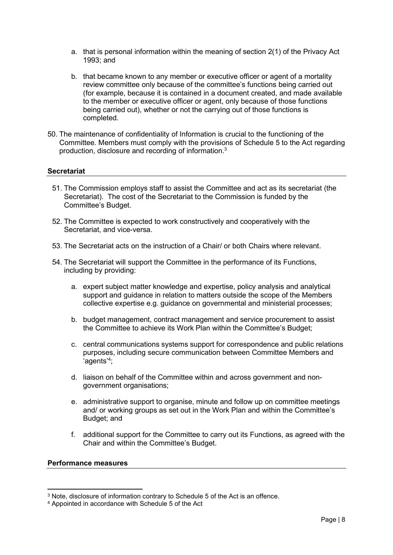- a. that is personal information within the meaning of section 2(1) of the Privacy Act 1993; and
- b. that became known to any member or executive officer or agent of a mortality review committee only because of the committee's functions being carried out (for example, because it is contained in a document created, and made available to the member or executive officer or agent, only because of those functions being carried out), whether or not the carrying out of those functions is completed.
- 50. The maintenance of confidentiality of Information is crucial to the functioning of the Committee. Members must comply with the provisions of Schedule 5 to the Act regarding production, disclosure and recording of information.<sup>3</sup>

# **Secretariat**

- 51. The Commission employs staff to assist the Committee and act as its secretariat (the Secretariat). The cost of the Secretariat to the Commission is funded by the Committee's Budget.
- 52. The Committee is expected to work constructively and cooperatively with the Secretariat, and vice-versa.
- 53. The Secretariat acts on the instruction of a Chair/ or both Chairs where relevant.
- 54. The Secretariat will support the Committee in the performance of its Functions, including by providing:
	- a. expert subject matter knowledge and expertise, policy analysis and analytical support and guidance in relation to matters outside the scope of the Members collective expertise e.g. guidance on governmental and ministerial processes;
	- b. budget management, contract management and service procurement to assist the Committee to achieve its Work Plan within the Committee's Budget;
	- c. central communications systems support for correspondence and public relations purposes, including secure communication between Committee Members and 'agents'<sup>4</sup> ;
	- d. liaison on behalf of the Committee within and across government and nongovernment organisations;
	- e. administrative support to organise, minute and follow up on committee meetings and/ or working groups as set out in the Work Plan and within the Committee's Budget; and
	- f. additional support for the Committee to carry out its Functions, as agreed with the Chair and within the Committee's Budget.

#### Performance measures

<sup>3</sup> Note, disclosure of information contrary to Schedule 5 of the Act is an offence.

<sup>4</sup> Appointed in accordance with Schedule 5 of the Act